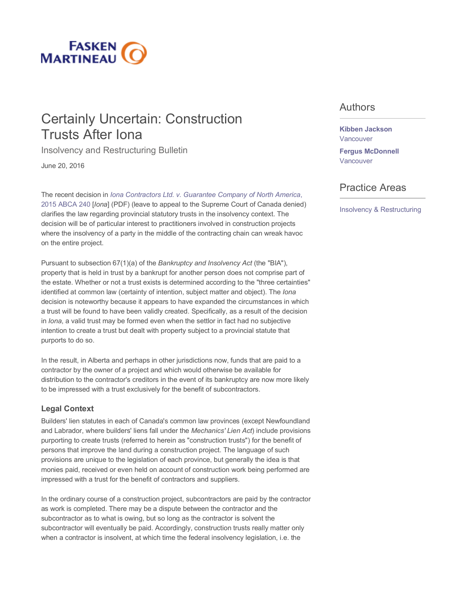

# Certainly Uncertain: Construction Trusts After Iona

Insolvency and Restructuring Bulletin

June 20, 2016

The recent decision in *Iona Contractors Ltd. v. Guarantee Company of North America*, 2015 ABCA 240 [*Iona*] (PDF) (leave to appeal to the Supreme Court of Canada denied) clarifies the law regarding provincial statutory trusts in the insolvency context. The decision will be of particular interest to practitioners involved in construction projects where the insolvency of a party in the middle of the contracting chain can wreak havoc on the entire project.

Pursuant to subsection 67(1)(a) of the *Bankruptcy and Insolvency Act* (the "BIA"), property that is held in trust by a bankrupt for another person does not comprise part of the estate. Whether or not a trust exists is determined according to the "three certainties" identified at common law (certainty of intention, subject matter and object). The *Iona* decision is noteworthy because it appears to have expanded the circumstances in which a trust will be found to have been validly created. Specifically, as a result of the decision in *Iona*, a valid trust may be formed even when the settlor in fact had no subjective intention to create a trust but dealt with property subject to a provincial statute that purports to do so.

In the result, in Alberta and perhaps in other jurisdictions now, funds that are paid to a contractor by the owner of a project and which would otherwise be available for distribution to the contractor's creditors in the event of its bankruptcy are now more likely to be impressed with a trust exclusively for the benefit of subcontractors.

### **Legal Context**

Builders' lien statutes in each of Canada's common law provinces (except Newfoundland and Labrador, where builders' liens fall under the *Mechanics' Lien Act*) include provisions purporting to create trusts (referred to herein as "construction trusts") for the benefit of persons that improve the land during a construction project. The language of such provisions are unique to the legislation of each province, but generally the idea is that monies paid, received or even held on account of construction work being performed are impressed with a trust for the benefit of contractors and suppliers.

In the ordinary course of a construction project, subcontractors are paid by the contractor as work is completed. There may be a dispute between the contractor and the subcontractor as to what is owing, but so long as the contractor is solvent the subcontractor will eventually be paid. Accordingly, construction trusts really matter only when a contractor is insolvent, at which time the federal insolvency legislation, i.e. the

### Authors

### **Kibben Jackson**  Vancouver

**Fergus McDonnell**  Vancouver

## Practice Areas

Insolvency & Restructuring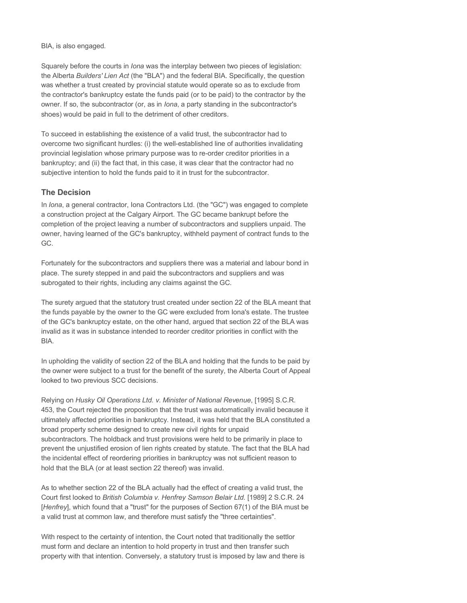#### BIA, is also engaged.

Squarely before the courts in *Iona* was the interplay between two pieces of legislation: the Alberta *Builders' Lien Act* (the "BLA") and the federal BIA. Specifically, the question was whether a trust created by provincial statute would operate so as to exclude from the contractor's bankruptcy estate the funds paid (or to be paid) to the contractor by the owner. If so, the subcontractor (or, as in *Iona*, a party standing in the subcontractor's shoes) would be paid in full to the detriment of other creditors.

To succeed in establishing the existence of a valid trust, the subcontractor had to overcome two significant hurdles: (i) the well-established line of authorities invalidating provincial legislation whose primary purpose was to re-order creditor priorities in a bankruptcy; and (ii) the fact that, in this case, it was clear that the contractor had no subjective intention to hold the funds paid to it in trust for the subcontractor.

### **The Decision**

In *Iona*, a general contractor, Iona Contractors Ltd. (the "GC") was engaged to complete a construction project at the Calgary Airport. The GC became bankrupt before the completion of the project leaving a number of subcontractors and suppliers unpaid. The owner, having learned of the GC's bankruptcy, withheld payment of contract funds to the GC.

Fortunately for the subcontractors and suppliers there was a material and labour bond in place. The surety stepped in and paid the subcontractors and suppliers and was subrogated to their rights, including any claims against the GC.

The surety argued that the statutory trust created under section 22 of the BLA meant that the funds payable by the owner to the GC were excluded from Iona's estate. The trustee of the GC's bankruptcy estate, on the other hand, argued that section 22 of the BLA was invalid as it was in substance intended to reorder creditor priorities in conflict with the BIA.

In upholding the validity of section 22 of the BLA and holding that the funds to be paid by the owner were subject to a trust for the benefit of the surety, the Alberta Court of Appeal looked to two previous SCC decisions.

Relying on *Husky Oil Operations Ltd. v. Minister of National Revenue*, [1995] S.C.R. 453, the Court rejected the proposition that the trust was automatically invalid because it ultimately affected priorities in bankruptcy. Instead, it was held that the BLA constituted a broad property scheme designed to create new civil rights for unpaid subcontractors. The holdback and trust provisions were held to be primarily in place to prevent the unjustified erosion of lien rights created by statute. The fact that the BLA had the incidental effect of reordering priorities in bankruptcy was not sufficient reason to hold that the BLA (or at least section 22 thereof) was invalid.

As to whether section 22 of the BLA actually had the effect of creating a valid trust, the Court first looked to *British Columbia v. Henfrey Samson Belair Ltd*. [1989] 2 S.C.R. 24 [*Henfrey*], which found that a "trust" for the purposes of Section 67(1) of the BIA must be a valid trust at common law, and therefore must satisfy the "three certainties".

With respect to the certainty of intention, the Court noted that traditionally the settlor must form and declare an intention to hold property in trust and then transfer such property with that intention. Conversely, a statutory trust is imposed by law and there is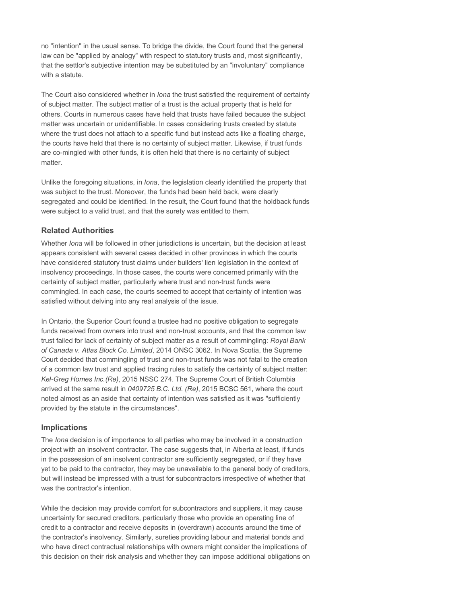no "intention" in the usual sense. To bridge the divide, the Court found that the general law can be "applied by analogy" with respect to statutory trusts and, most significantly, that the settlor's subjective intention may be substituted by an "involuntary" compliance with a statute.

The Court also considered whether in *Iona* the trust satisfied the requirement of certainty of subject matter. The subject matter of a trust is the actual property that is held for others. Courts in numerous cases have held that trusts have failed because the subject matter was uncertain or unidentifiable. In cases considering trusts created by statute where the trust does not attach to a specific fund but instead acts like a floating charge, the courts have held that there is no certainty of subject matter. Likewise, if trust funds are co-mingled with other funds, it is often held that there is no certainty of subject matter.

Unlike the foregoing situations, in *Iona*, the legislation clearly identified the property that was subject to the trust. Moreover, the funds had been held back, were clearly segregated and could be identified. In the result, the Court found that the holdback funds were subject to a valid trust, and that the surety was entitled to them.

### **Related Authorities**

Whether *Iona* will be followed in other jurisdictions is uncertain, but the decision at least appears consistent with several cases decided in other provinces in which the courts have considered statutory trust claims under builders' lien legislation in the context of insolvency proceedings. In those cases, the courts were concerned primarily with the certainty of subject matter, particularly where trust and non-trust funds were commingled. In each case, the courts seemed to accept that certainty of intention was satisfied without delving into any real analysis of the issue.

In Ontario, the Superior Court found a trustee had no positive obligation to segregate funds received from owners into trust and non-trust accounts, and that the common law trust failed for lack of certainty of subject matter as a result of commingling: *Royal Bank of Canada v. Atlas Block Co. Limited*, 2014 ONSC 3062. In Nova Scotia, the Supreme Court decided that commingling of trust and non-trust funds was not fatal to the creation of a common law trust and applied tracing rules to satisfy the certainty of subject matter: *Kel-Greg Homes Inc.(Re)*, 2015 NSSC 274. The Supreme Court of British Columbia arrived at the same result in *0409725 B.C. Ltd. (Re)*, 2015 BCSC 561, where the court noted almost as an aside that certainty of intention was satisfied as it was "sufficiently provided by the statute in the circumstances".

### **Implications**

The *Iona* decision is of importance to all parties who may be involved in a construction project with an insolvent contractor. The case suggests that, in Alberta at least, if funds in the possession of an insolvent contractor are sufficiently segregated, or if they have yet to be paid to the contractor, they may be unavailable to the general body of creditors, but will instead be impressed with a trust for subcontractors irrespective of whether that was the contractor's intention.

While the decision may provide comfort for subcontractors and suppliers, it may cause uncertainty for secured creditors, particularly those who provide an operating line of credit to a contractor and receive deposits in (overdrawn) accounts around the time of the contractor's insolvency. Similarly, sureties providing labour and material bonds and who have direct contractual relationships with owners might consider the implications of this decision on their risk analysis and whether they can impose additional obligations on